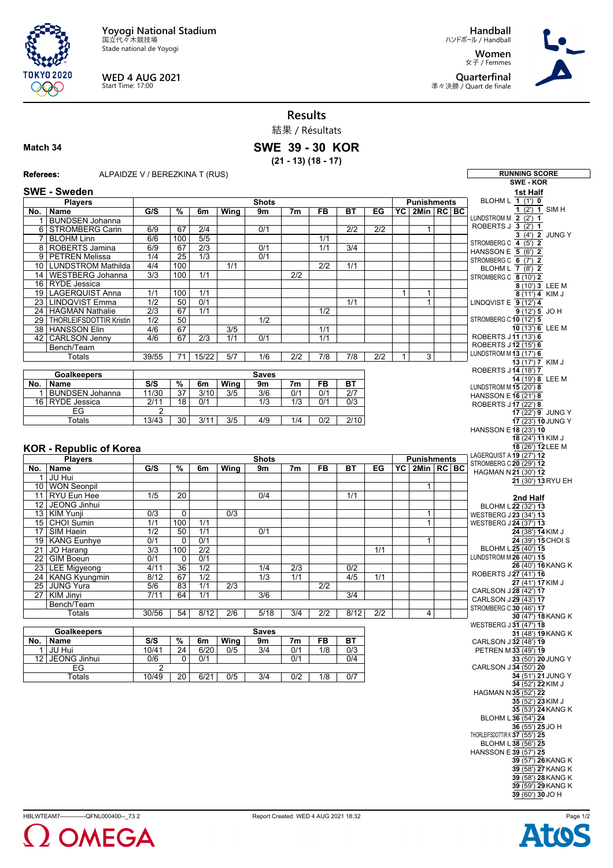**Yoyogi National Stadium** 国立代々木競技場

Stade national de Yoyogi



**WED 4 AUG 2021** Start Time: 17:00

**Handball** ハンドボール / Handball **Women** 女子 / Femmes **Quarterfinal**

準々決勝 / Quart de finale



**Results**

結果 / Résultats

## **Match 34**

**SWE 39 - 30 KOR**

**(21 - 13) (18 - 17)**

## **Referees:** ALPAIDZE V / BEREZKINA T (RUS) **RUNNING SCORE SWE - KOR SWE - Sweden Players No. Name Shots G/S % 6m Wing 9m 7m FB BT EG Punishments YC 2Min RC BC** BUNDSEN Johanna 6 STROMBERG Carin 6/9 67 2/4 0/1 2/2 2/2 1 7 BLOHM Linn 6/6 100 5/5 1/1 | 8 | ROBERTS Jamina | 6/9 | 67 | 2/3 | | 0/1 | | 1/1 | 3/4 9 PETREN Melissa | 1/4 | 25 | 1/3 | 0/1 10 LUNDSTROM Mathilda 4/4 100 1/1 2/2 1/1 14 WESTBERG Johanna 3/3 100 1/1 2/2 16 RYDE Jessica 19 LAGERQUIST Anna 1/1 100 1/1 1 1 23 LINDQVIST Emma 1/2 50 0/1 1/1 1/1 1<br>24 HAGMAN Nathalie 2/3 67 1/1 1/2 1/2 1/2 HAGMAN Nathalie 2/3 67 1/1 29 THORLEIFSDOTTIR Kristin 1/2 50 1/2 38 HANSSON Elin 4/6 67 3/5 1/1 42 CARLSON Jenny | 4/6 | 67 | 2/3 | 1/1 | 0/1 | 1/1 **Bench/Team** Totals | 39/55 | 71 | 15/22 | 5/7 | 1/6 | 2/2 | 7/8 | 7/8 | 2/2 | 1 | 3 **Goalkeepers No. Name Saves S/S % 6m Wing 9m 7m FB BT** 1 BUNDSEN Johanna 16 RYDE Jessica 2/11 18 0/1 1/3 1/3 0/1 0/3 **EG** Totals 13/43 30 3/11 3/5 4/9 1/4 0/2 2/10 **KOR - Republic of Korea Players No. Name Shots G/S % 6m Wing 9m 7m FB BT EG Punishments YC 2Min RC BC** 1 JU Hui 10 WON Seonpil 1 11 RYU Eun Hee 12 JEONG Jinhui<br>13 KIM Yunji 13 KIM Yunji 0/3 0 0/3 1 15 CHOI Sumin 1/1 100 1/1 1 17 SIM Haein 1/2 50 1/1 0/1 19 KANG Eunhye 0/1 0 0/1<br>21 JO Harang 3/3 100 2/2 | 21 | JO Harang | 3/3 | 100 | 2/2 | | | | | | 1/1 22 GIM Boeun 0/1 0 0/1 23 LEE Migyeong 4/11 36 1/2 1/4 2/3 0/2<br>24 KANG Kyungmin 8/12 67 1/2 1/3 1/1 4/5 24 KANG Kyungmin 8/12 67 1/2 1/3 1/1 4/5 1/1<br>25 Junio Yura 5/6 83 1/1 2/3 2/2 25 JUNG Yura 5/6 83 1/1 2/3 2/2 27 KIM Jinyi 7/11 64 1/1 3/6 3/6 3/4 Bench/Team Totals 30/56 54 8/12 2/6 5/18 3/4 2/2 8/12 2/2 4 **Goalkeepers No. Name Saves S/S % 6m Wing 9m 7m FB BT** 1 JU Hui 10/41 24 6/20 0/5 3/4 0/1 1/8 0/3 12 JEONG Jinhui 0/6 0 0/1 0/1 0/4  $E$ G Totals 10/49 20 6/21 0/5 3/4 0/2 1/8 0/7 **1st Half** BLOHM L **1** (1') **0 1** (2') **1**SIM H LUNDSTROM M **2** (2') **1** ROBERTS J **3** (2') **1**  $\overline{3}$  (4') **2** JUNG Y STROMBERG C **4** (5') **2** HANSSON E **5** (6') **2** STROMBERG C **6** (7') **2** BLOHM L **7** (8') **2** STROMBERG C **8** (10') **2**  $8(10')$  **3** LEE M  $8(11')$  **4** KIM J LINDQVIST E **9** (12') **4**  $9(12')$  5 JO H STROMBERG C **10** (12') **5 10** (13') **6** LEE M ROBERTS J **11** (13') **6** ROBERTS J **12** (15') **6** LUNDSTROM M **13** (17') **6 13** (17') **7** KIM J ROBERTS J **14** (18') **7 14** (19') **8** LEE M LUNDSTROM M **15** (20') **8** HANSSON E**16** (21') **8** ROBERTS J **17** (22') **8 17** (22') **9** JUNG Y **17** (23') **10** JUNG Y HANSSON E**18** (23') **10 18** (24') **11**KIM J **18** (26') **12** LEE M LAGERQUIST A **19** (27') **12** STROMBERG C **20** (29') **12** HAGMAN N **21** (30') **12 21** (30') **13** RYU EH **2nd Half** BLOHM L **22** (32') **13** WESTBERG J **23** (34') **13** WESTBERG J **24** (37') **13 24** (38') **14**KIM J **24** (39') **15** CHOI S BLOHM L **25** (40') **15** LUNDSTROM M **26** (40') **15 26** (40') **16**KANG K ROBERTS J **27** (41') **16 27** (41') **17**KIM J CARLSON J **28** (42') **17** CARLSON J **29** (43') **17** STROMBERG C **30** (46') **17 30** (47') **18**KANG K WESTBERG J **31** (47') **18 31** (48') **19**KANG K CARLSON J **32** (48') **19** PETREN M **33** (49') **19 33** (50') **20** JUNG Y CARLSON J **34** (50') **20 34** (51') **21** JUNG Y **34** (52') **22**KIM J HAGMAN N **35** (52') **22 35** (52') **23**KIM J **35** (53') **24**KANG K BLOHM L **36** (54') **24 36** (55') **25** JO H THORLEIFSDOTTIR K **37** (55') **25** BLOHM L **38** (56') **25** HANSSON E**39** (57') **25 39** (57') **26**KANG K **39** (58') **27**KANG K **39** (58') **28**KANG K **39** (59') **29**KANG K **39** (60') **30** JO H